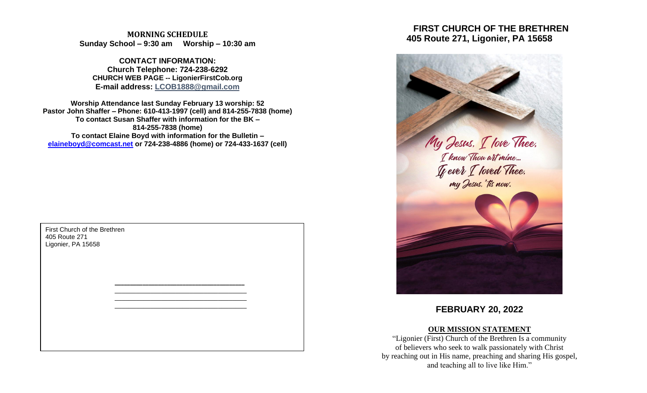**MORNING SCHEDULE Sunday School – 9:30 am Worship – 10:30 am**

**CONTACT INFORMATION: Church Telephone: 724-238-6292 CHURCH WEB PAGE -- LigonierFirstCob.org E-mail address: LCOB1888@gmail.com**

**Worship Attendance last Sunday February 13 worship: 52 Pastor John Shaffer – Phone: 610-413-1997 (cell) and 814-255-7838 (home) To contact Susan Shaffer with information for the BK – 814-255-7838 (home) To contact Elaine Boyd with information for the Bulletin – [elaineboyd@comcast.net](mailto:elaineboyd@comcast.net) or 724-238-4886 (home) or 724-433-1637 (cell)**

> **\_\_\_\_\_\_\_\_\_\_\_\_\_\_\_\_\_\_\_\_\_\_\_\_\_\_\_\_\_\_\_\_\_\_\_\_\_\_\_\_\_\_** \_\_\_\_\_\_\_\_\_\_\_\_\_\_\_\_\_\_\_\_\_\_\_\_\_\_\_\_\_\_\_\_\_\_\_\_\_ \_\_\_\_\_\_\_\_\_\_\_\_\_\_\_\_\_\_\_\_\_\_\_\_\_\_\_\_\_\_\_\_\_\_\_\_\_ \_\_\_\_\_\_\_\_\_\_\_\_\_\_\_\_\_\_\_\_\_\_\_\_\_\_\_\_\_\_\_\_\_\_\_\_\_

First Church of the Brethren 405 Route 271 Ligonier, PA 15658

# **FIRST CHURCH OF THE BRETHREN 405 Route 271, Ligonier, PA 15658**



## **FEBRUARY 20, 2022**

## **OUR MISSION STATEMENT**

"Ligonier (First) Church of the Brethren Is a community of believers who seek to walk passionately with Christ by reaching out in His name, preaching and sharing His gospel, and teaching all to live like Him."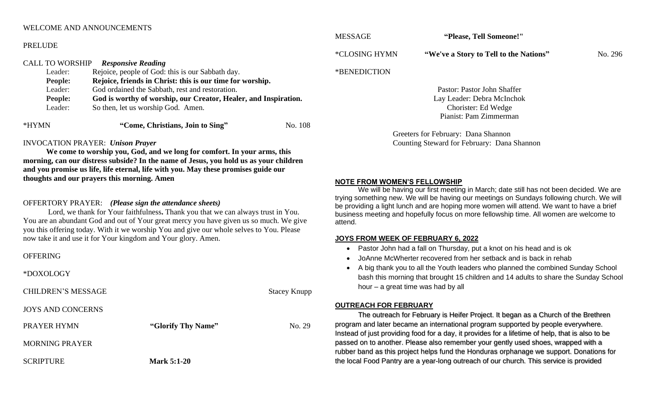### WELCOME AND ANNOUNCEMENTS

#### PRELUDE

#### CALL TO WORSHIP *Responsive Reading*

| Leader:        | Rejoice, people of God: this is our Sabbath day.                |         |  |
|----------------|-----------------------------------------------------------------|---------|--|
| <b>People:</b> | Rejoice, friends in Christ: this is our time for worship.       |         |  |
| Leader:        | God ordained the Sabbath, rest and restoration.                 |         |  |
| <b>People:</b> | God is worthy of worship, our Creator, Healer, and Inspiration. |         |  |
| Leader:        | So then, let us worship God. Amen.                              |         |  |
| *HYMN          | "Come, Christians, Join to Sing"                                | No. 108 |  |

#### INVOCATION PRAYER: *Unison Prayer*

**We come to worship you, God, and we long for comfort. In your arms, this morning, can our distress subside? In the name of Jesus, you hold us as your children and you promise us life, life eternal, life with you. May these promises guide our thoughts and our prayers this morning. Amen**

## OFFERTORY PRAYER: *(Please sign the attendance sheets)*

Lord, we thank for Your faithfulness**.** Thank you that we can always trust in You. You are an abundant God and out of Your great mercy you have given us so much. We give you this offering today. With it we worship You and give our whole selves to You. Please now take it and use it for Your kingdom and Your glory. Amen.

#### OFFERING

#### \*DOXOLOGY

CHILDREN'S MESSAGE Stacey Knupp

#### JOYS AND CONCERNS

| <b>PRAYER HYMN</b>    | "Glorify Thy Name" | No. 29 |
|-----------------------|--------------------|--------|
| <b>MORNING PRAYER</b> |                    |        |
| <b>SCRIPTURE</b>      | <b>Mark 5:1-20</b> |        |

MESSAGE **"Please, Tell Someone!"**

\*CLOSING HYMN **"We've a Story to Tell to the Nations"** No. 296

#### \*BENEDICTION

Pastor: Pastor John Shaffer Lay Leader: Debra McInchok Chorister: Ed Wedge Pianist: Pam Zimmerman

Greeters for February: Dana Shannon Counting Steward for February: Dana Shannon

#### **NOTE FROM WOMEN'S FELLOWSHIP**

We will be having our first meeting in March; date still has not been decided. We are trying something new. We will be having our meetings on Sundays following church. We will be providing a light lunch and are hoping more women will attend. We want to have a brief business meeting and hopefully focus on more fellowship time. All women are welcome to attend.

#### **JOYS FROM WEEK OF FEBRUARY 6, 2022**

- Pastor John had a fall on Thursday, put a knot on his head and is ok
- JoAnne McWherter recovered from her setback and is back in rehab
- A big thank you to all the Youth leaders who planned the combined Sunday School bash this morning that brought 15 children and 14 adults to share the Sunday School hour – a great time was had by all

#### **OUTREACH FOR FEBRUARY**

The outreach for February is Heifer Project. It began as a Church of the Brethren program and later became an international program supported by people everywhere. Instead of just providing food for a day, it provides for a lifetime of help, that is also to be passed on to another. Please also remember your gently used shoes, wrapped with a rubber band as this project helps fund the Honduras orphanage we support. Donations for the local Food Pantry are a year-long outreach of our church. This service is provided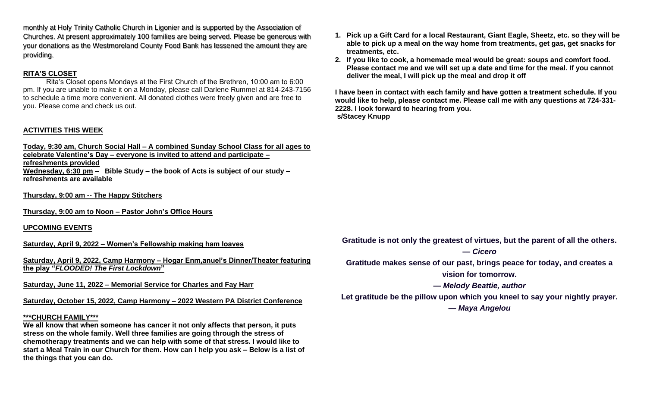monthly at Holy Trinity Catholic Church in Ligonier and is supported by the Association of Churches. At present approximately 100 families are being served. Please be generous with your donations as the Westmoreland County Food Bank has lessened the amount they are providing.

## **RITA'S CLOSET**

Rita's Closet opens Mondays at the First Church of the Brethren, 10:00 am to 6:00 pm. If you are unable to make it on a Monday, please call Darlene Rummel at 814-243-7156 to schedule a time more convenient. All donated clothes were freely given and are free to you. Please come and check us out.

## **ACTIVITIES THIS WEEK**

**Today, 9:30 am, Church Social Hall – A combined Sunday School Class for all ages to celebrate Valentine's Day – everyone is invited to attend and participate – refreshments provided Wednesday, 6:30 pm – Bible Study – the book of Acts is subject of our study – refreshments are available**

**Thursday, 9:00 am -- The Happy Stitchers** 

**Thursday, 9:00 am to Noon – Pastor John's Office Hours**

## **UPCOMING EVENTS**

**Saturday, April 9, 2022 – Women's Fellowship making ham loaves**

**Saturday, April 9, 2022, Camp Harmony – Hogar Enm,anuel's Dinner/Theater featuring the play "***FLOODED! The First Lockdown***"**

**Saturday, June 11, 2022 – Memorial Service for Charles and Fay Harr**

**Saturday, October 15, 2022, Camp Harmony – 2022 Western PA District Conference**

#### **\*\*\*CHURCH FAMILY\*\*\***

**We all know that when someone has cancer it not only affects that person, it puts stress on the whole family. Well three families are going through the stress of chemotherapy treatments and we can help with some of that stress. I would like to start a Meal Train in our Church for them. How can I help you ask – Below is a list of the things that you can do.**

- **1. Pick up a Gift Card for a local Restaurant, Giant Eagle, Sheetz, etc. so they will be able to pick up a meal on the way home from treatments, get gas, get snacks for treatments, etc.**
- **2. If you like to cook, a homemade meal would be great: soups and comfort food. Please contact me and we will set up a date and time for the meal. If you cannot deliver the meal, I will pick up the meal and drop it off**

**I have been in contact with each family and have gotten a treatment schedule. If you would like to help, please contact me. Please call me with any questions at 724-331- 2228. I look forward to hearing from you. s/Stacey Knupp**

**Gratitude is not only the greatest of virtues, but the parent of all the others.** *— Cicero*

**Gratitude makes sense of our past, brings peace for today, and creates a vision for tomorrow.**

*— Melody Beattie, author*

**Let gratitude be the pillow upon which you kneel to say your nightly prayer.** *— Maya Angelou*